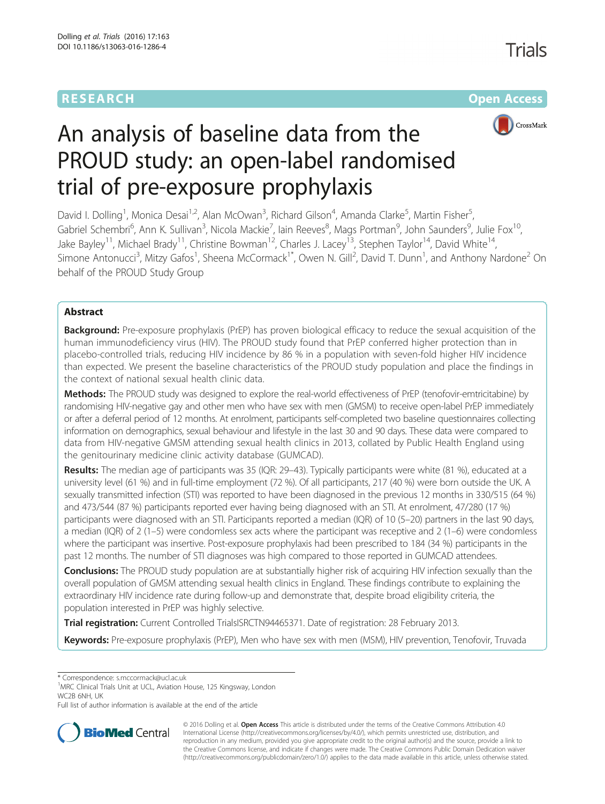# **RESEARCH CHE Open Access**



# An analysis of baseline data from the PROUD study: an open-label randomised trial of pre-exposure prophylaxis

David I. Dolling<sup>1</sup>, Monica Desai<sup>1,2</sup>, Alan McOwan<sup>3</sup>, Richard Gilson<sup>4</sup>, Amanda Clarke<sup>5</sup>, Martin Fisher<sup>5</sup> , Gabriel Schembri<sup>6</sup>, Ann K. Sullivan<sup>3</sup>, Nicola Mackie<sup>7</sup>, Iain Reeves<sup>8</sup>, Mags Portman<sup>9</sup>, John Saunders<sup>9</sup>, Julie Fox<sup>10</sup>, Jake Bayley<sup>11</sup>, Michael Brady<sup>11</sup>, Christine Bowman<sup>12</sup>, Charles J. Lacey<sup>13</sup>, Stephen Taylor<sup>14</sup>, David White<sup>14</sup>, Simone Antonucci<sup>3</sup>, Mitzy Gafos<sup>1</sup>, Sheena McCormack<sup>1\*</sup>, Owen N. Gill<sup>2</sup>, David T. Dunn<sup>1</sup>, and Anthony Nardone<sup>2</sup> On behalf of the PROUD Study Group

# Abstract

Background: Pre-exposure prophylaxis (PrEP) has proven biological efficacy to reduce the sexual acquisition of the human immunodeficiency virus (HIV). The PROUD study found that PrEP conferred higher protection than in placebo-controlled trials, reducing HIV incidence by 86 % in a population with seven-fold higher HIV incidence than expected. We present the baseline characteristics of the PROUD study population and place the findings in the context of national sexual health clinic data.

Methods: The PROUD study was designed to explore the real-world effectiveness of PrEP (tenofovir-emtricitabine) by randomising HIV-negative gay and other men who have sex with men (GMSM) to receive open-label PrEP immediately or after a deferral period of 12 months. At enrolment, participants self-completed two baseline questionnaires collecting information on demographics, sexual behaviour and lifestyle in the last 30 and 90 days. These data were compared to data from HIV-negative GMSM attending sexual health clinics in 2013, collated by Public Health England using the genitourinary medicine clinic activity database (GUMCAD).

Results: The median age of participants was 35 (IQR: 29-43). Typically participants were white (81 %), educated at a university level (61 %) and in full-time employment (72 %). Of all participants, 217 (40 %) were born outside the UK. A sexually transmitted infection (STI) was reported to have been diagnosed in the previous 12 months in 330/515 (64 %) and 473/544 (87 %) participants reported ever having being diagnosed with an STI. At enrolment, 47/280 (17 %) participants were diagnosed with an STI. Participants reported a median (IQR) of 10 (5–20) partners in the last 90 days, a median (IQR) of 2 (1–5) were condomless sex acts where the participant was receptive and 2 (1–6) were condomless where the participant was insertive. Post-exposure prophylaxis had been prescribed to 184 (34 %) participants in the past 12 months. The number of STI diagnoses was high compared to those reported in GUMCAD attendees.

Conclusions: The PROUD study population are at substantially higher risk of acquiring HIV infection sexually than the overall population of GMSM attending sexual health clinics in England. These findings contribute to explaining the extraordinary HIV incidence rate during follow-up and demonstrate that, despite broad eligibility criteria, the population interested in PrEP was highly selective.

Trial registration: Current Controlled Trial[sISRCTN94465371.](http://www.isrctn.com/ISRCTN94465371) Date of registration: 28 February 2013.

Keywords: Pre-exposure prophylaxis (PrEP), Men who have sex with men (MSM), HIV prevention, Tenofovir, Truvada

\* Correspondence: [s.mccormack@ucl.ac.uk](mailto:s.mccormack@ucl.ac.uk) <sup>1</sup>

<sup>1</sup>MRC Clinical Trials Unit at UCL, Aviation House, 125 Kingsway, London WC2B 6NH, UK

Full list of author information is available at the end of the article



© 2016 Dolling et al. Open Access This article is distributed under the terms of the Creative Commons Attribution 4.0 International License [\(http://creativecommons.org/licenses/by/4.0/](http://creativecommons.org/licenses/by/4.0/)), which permits unrestricted use, distribution, and reproduction in any medium, provided you give appropriate credit to the original author(s) and the source, provide a link to the Creative Commons license, and indicate if changes were made. The Creative Commons Public Domain Dedication waiver [\(http://creativecommons.org/publicdomain/zero/1.0/](http://creativecommons.org/publicdomain/zero/1.0/)) applies to the data made available in this article, unless otherwise stated.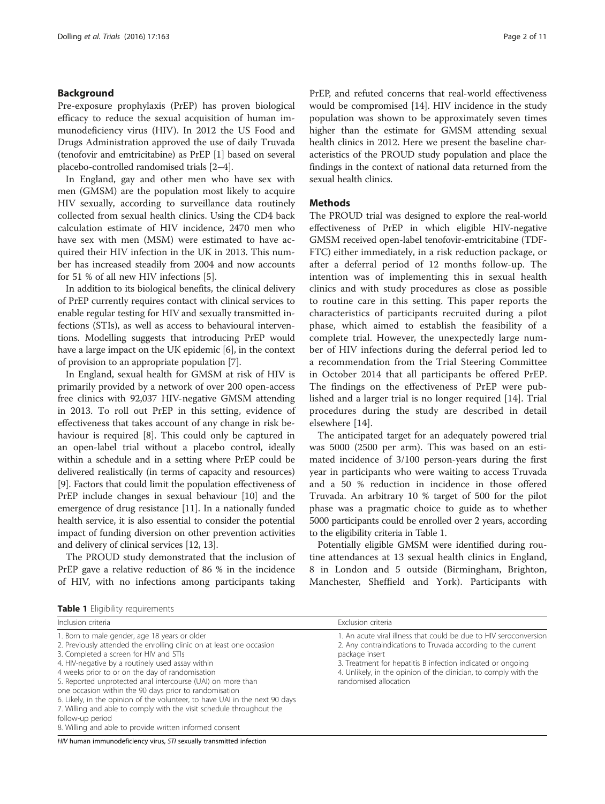# <span id="page-1-0"></span>Background

Pre-exposure prophylaxis (PrEP) has proven biological efficacy to reduce the sexual acquisition of human immunodeficiency virus (HIV). In 2012 the US Food and Drugs Administration approved the use of daily Truvada (tenofovir and emtricitabine) as PrEP [\[1](#page-9-0)] based on several placebo-controlled randomised trials [\[2](#page-9-0)–[4\]](#page-9-0).

In England, gay and other men who have sex with men (GMSM) are the population most likely to acquire HIV sexually, according to surveillance data routinely collected from sexual health clinics. Using the CD4 back calculation estimate of HIV incidence, 2470 men who have sex with men (MSM) were estimated to have acquired their HIV infection in the UK in 2013. This number has increased steadily from 2004 and now accounts for 51 % of all new HIV infections [\[5](#page-9-0)].

In addition to its biological benefits, the clinical delivery of PrEP currently requires contact with clinical services to enable regular testing for HIV and sexually transmitted infections (STIs), as well as access to behavioural interventions. Modelling suggests that introducing PrEP would have a large impact on the UK epidemic [\[6](#page-9-0)], in the context of provision to an appropriate population [[7](#page-9-0)].

In England, sexual health for GMSM at risk of HIV is primarily provided by a network of over 200 open-access free clinics with 92,037 HIV-negative GMSM attending in 2013. To roll out PrEP in this setting, evidence of effectiveness that takes account of any change in risk behaviour is required [[8\]](#page-9-0). This could only be captured in an open-label trial without a placebo control, ideally within a schedule and in a setting where PrEP could be delivered realistically (in terms of capacity and resources) [[9\]](#page-9-0). Factors that could limit the population effectiveness of PrEP include changes in sexual behaviour [\[10\]](#page-9-0) and the emergence of drug resistance [\[11\]](#page-9-0). In a nationally funded health service, it is also essential to consider the potential impact of funding diversion on other prevention activities and delivery of clinical services [[12](#page-9-0), [13\]](#page-9-0).

The PROUD study demonstrated that the inclusion of PrEP gave a relative reduction of 86 % in the incidence of HIV, with no infections among participants taking PrEP, and refuted concerns that real-world effectiveness would be compromised [\[14\]](#page-9-0). HIV incidence in the study population was shown to be approximately seven times higher than the estimate for GMSM attending sexual health clinics in 2012. Here we present the baseline characteristics of the PROUD study population and place the findings in the context of national data returned from the sexual health clinics.

#### **Methods**

The PROUD trial was designed to explore the real-world effectiveness of PrEP in which eligible HIV-negative GMSM received open-label tenofovir-emtricitabine (TDF-FTC) either immediately, in a risk reduction package, or after a deferral period of 12 months follow-up. The intention was of implementing this in sexual health clinics and with study procedures as close as possible to routine care in this setting. This paper reports the characteristics of participants recruited during a pilot phase, which aimed to establish the feasibility of a complete trial. However, the unexpectedly large number of HIV infections during the deferral period led to a recommendation from the Trial Steering Committee in October 2014 that all participants be offered PrEP. The findings on the effectiveness of PrEP were published and a larger trial is no longer required [[14\]](#page-9-0). Trial procedures during the study are described in detail elsewhere [\[14\]](#page-9-0).

The anticipated target for an adequately powered trial was 5000 (2500 per arm). This was based on an estimated incidence of 3/100 person-years during the first year in participants who were waiting to access Truvada and a 50 % reduction in incidence in those offered Truvada. An arbitrary 10 % target of 500 for the pilot phase was a pragmatic choice to guide as to whether 5000 participants could be enrolled over 2 years, according to the eligibility criteria in Table 1.

Potentially eligible GMSM were identified during routine attendances at 13 sexual health clinics in England, 8 in London and 5 outside (Birmingham, Brighton, Manchester, Sheffield and York). Participants with

|  |  |  |  | Table 1 Eligibility requirements |
|--|--|--|--|----------------------------------|
|--|--|--|--|----------------------------------|

| <b>Table I</b> Lilylother regulierients                                                                                                                                                                                                                                                                                                                                                                                                                                                                                                                                                                                               |                                                                                                                                                                                                                                                                                                                 |
|---------------------------------------------------------------------------------------------------------------------------------------------------------------------------------------------------------------------------------------------------------------------------------------------------------------------------------------------------------------------------------------------------------------------------------------------------------------------------------------------------------------------------------------------------------------------------------------------------------------------------------------|-----------------------------------------------------------------------------------------------------------------------------------------------------------------------------------------------------------------------------------------------------------------------------------------------------------------|
| Inclusion criteria                                                                                                                                                                                                                                                                                                                                                                                                                                                                                                                                                                                                                    | Exclusion criteria                                                                                                                                                                                                                                                                                              |
| 1. Born to male gender, age 18 years or older<br>2. Previously attended the enrolling clinic on at least one occasion<br>3. Completed a screen for HIV and STIs<br>4. HIV-negative by a routinely used assay within<br>4 weeks prior to or on the day of randomisation<br>5. Reported unprotected anal intercourse (UAI) on more than<br>one occasion within the 90 days prior to randomisation<br>6. Likely, in the opinion of the volunteer, to have UAI in the next 90 days<br>7. Willing and able to comply with the visit schedule throughout the<br>follow-up period<br>8. Willing and able to provide written informed consent | 1. An acute viral illness that could be due to HIV seroconversion<br>2. Any contraindications to Truvada according to the current<br>package insert<br>3. Treatment for hepatitis B infection indicated or ongoing<br>4. Unlikely, in the opinion of the clinician, to comply with the<br>randomised allocation |

HIV human immunodeficiency virus, STI sexually transmitted infection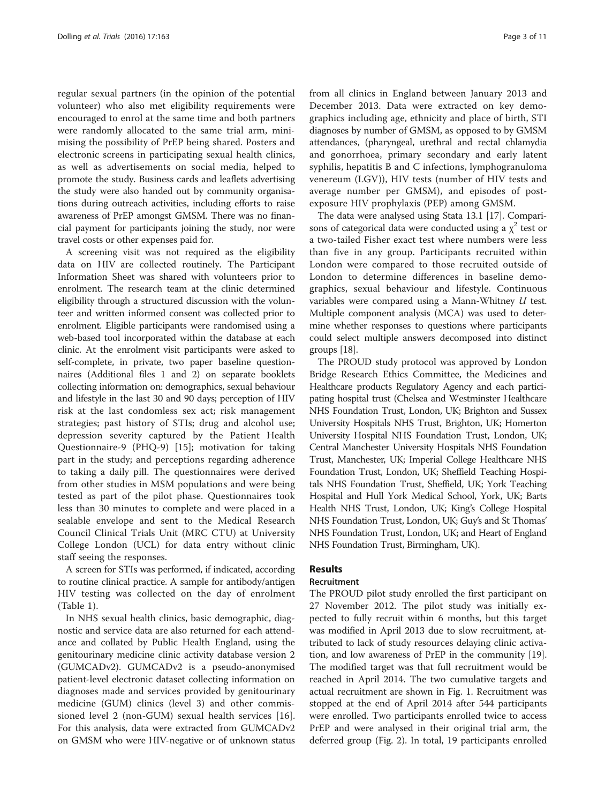regular sexual partners (in the opinion of the potential volunteer) who also met eligibility requirements were encouraged to enrol at the same time and both partners were randomly allocated to the same trial arm, minimising the possibility of PrEP being shared. Posters and electronic screens in participating sexual health clinics, as well as advertisements on social media, helped to promote the study. Business cards and leaflets advertising the study were also handed out by community organisations during outreach activities, including efforts to raise awareness of PrEP amongst GMSM. There was no financial payment for participants joining the study, nor were travel costs or other expenses paid for.

A screening visit was not required as the eligibility data on HIV are collected routinely. The Participant Information Sheet was shared with volunteers prior to enrolment. The research team at the clinic determined eligibility through a structured discussion with the volunteer and written informed consent was collected prior to enrolment. Eligible participants were randomised using a web-based tool incorporated within the database at each clinic. At the enrolment visit participants were asked to self-complete, in private, two paper baseline questionnaires (Additional files [1](#page-8-0) and [2\)](#page-8-0) on separate booklets collecting information on: demographics, sexual behaviour and lifestyle in the last 30 and 90 days; perception of HIV risk at the last condomless sex act; risk management strategies; past history of STIs; drug and alcohol use; depression severity captured by the Patient Health Questionnaire-9 (PHQ-9) [\[15](#page-9-0)]; motivation for taking part in the study; and perceptions regarding adherence to taking a daily pill. The questionnaires were derived from other studies in MSM populations and were being tested as part of the pilot phase. Questionnaires took less than 30 minutes to complete and were placed in a sealable envelope and sent to the Medical Research Council Clinical Trials Unit (MRC CTU) at University College London (UCL) for data entry without clinic staff seeing the responses.

A screen for STIs was performed, if indicated, according to routine clinical practice. A sample for antibody/antigen HIV testing was collected on the day of enrolment (Table [1](#page-1-0)).

In NHS sexual health clinics, basic demographic, diagnostic and service data are also returned for each attendance and collated by Public Health England, using the genitourinary medicine clinic activity database version 2 (GUMCADv2). GUMCADv2 is a pseudo-anonymised patient-level electronic dataset collecting information on diagnoses made and services provided by genitourinary medicine (GUM) clinics (level 3) and other commissioned level 2 (non-GUM) sexual health services [\[16](#page-9-0)]. For this analysis, data were extracted from GUMCADv2 on GMSM who were HIV-negative or of unknown status from all clinics in England between January 2013 and December 2013. Data were extracted on key demographics including age, ethnicity and place of birth, STI diagnoses by number of GMSM, as opposed to by GMSM attendances, (pharyngeal, urethral and rectal chlamydia and gonorrhoea, primary secondary and early latent syphilis, hepatitis B and C infections, lymphogranuloma venereum (LGV)), HIV tests (number of HIV tests and average number per GMSM), and episodes of postexposure HIV prophylaxis (PEP) among GMSM.

The data were analysed using Stata 13.1 [[17](#page-9-0)]. Comparisons of categorical data were conducted using a  $\chi^2$  test or a two-tailed Fisher exact test where numbers were less than five in any group. Participants recruited within London were compared to those recruited outside of London to determine differences in baseline demographics, sexual behaviour and lifestyle. Continuous variables were compared using a Mann-Whitney U test. Multiple component analysis (MCA) was used to determine whether responses to questions where participants could select multiple answers decomposed into distinct groups [[18](#page-9-0)].

The PROUD study protocol was approved by London Bridge Research Ethics Committee, the Medicines and Healthcare products Regulatory Agency and each participating hospital trust (Chelsea and Westminster Healthcare NHS Foundation Trust, London, UK; Brighton and Sussex University Hospitals NHS Trust, Brighton, UK; Homerton University Hospital NHS Foundation Trust, London, UK; Central Manchester University Hospitals NHS Foundation Trust, Manchester, UK; Imperial College Healthcare NHS Foundation Trust, London, UK; Sheffield Teaching Hospitals NHS Foundation Trust, Sheffield, UK; York Teaching Hospital and Hull York Medical School, York, UK; Barts Health NHS Trust, London, UK; King's College Hospital NHS Foundation Trust, London, UK; Guy's and St Thomas' NHS Foundation Trust, London, UK; and Heart of England NHS Foundation Trust, Birmingham, UK).

# Results

# Recruitment

The PROUD pilot study enrolled the first participant on 27 November 2012. The pilot study was initially expected to fully recruit within 6 months, but this target was modified in April 2013 due to slow recruitment, attributed to lack of study resources delaying clinic activation, and low awareness of PrEP in the community [\[19](#page-9-0)]. The modified target was that full recruitment would be reached in April 2014. The two cumulative targets and actual recruitment are shown in Fig. [1.](#page-3-0) Recruitment was stopped at the end of April 2014 after 544 participants were enrolled. Two participants enrolled twice to access PrEP and were analysed in their original trial arm, the deferred group (Fig. [2\)](#page-3-0). In total, 19 participants enrolled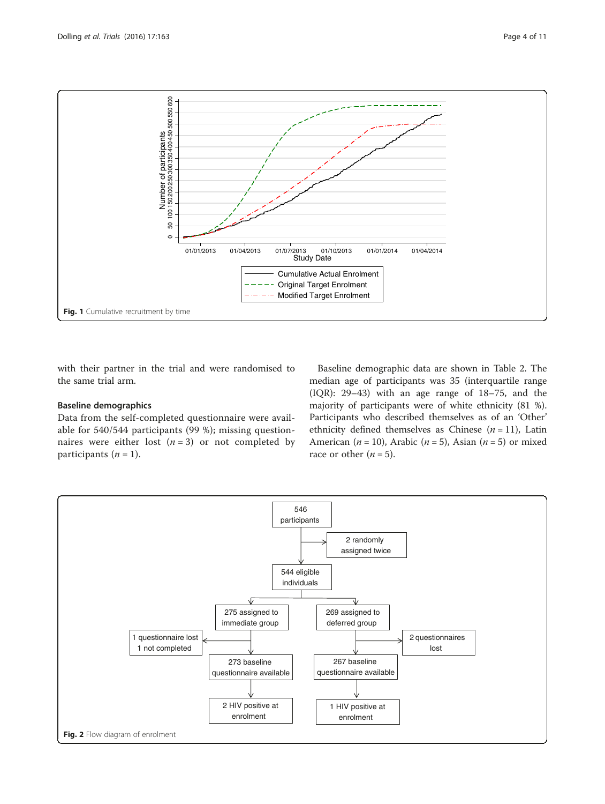<span id="page-3-0"></span>

with their partner in the trial and were randomised to the same trial arm.

## Baseline demographics

Data from the self-completed questionnaire were available for 540/544 participants (99 %); missing questionnaires were either lost  $(n = 3)$  or not completed by participants  $(n = 1)$ .

Baseline demographic data are shown in Table [2.](#page-4-0) The median age of participants was 35 (interquartile range (IQR): 29–43) with an age range of 18–75, and the majority of participants were of white ethnicity (81 %). Participants who described themselves as of an 'Other' ethnicity defined themselves as Chinese  $(n = 11)$ , Latin American ( $n = 10$ ), Arabic ( $n = 5$ ), Asian ( $n = 5$ ) or mixed race or other  $(n = 5)$ .

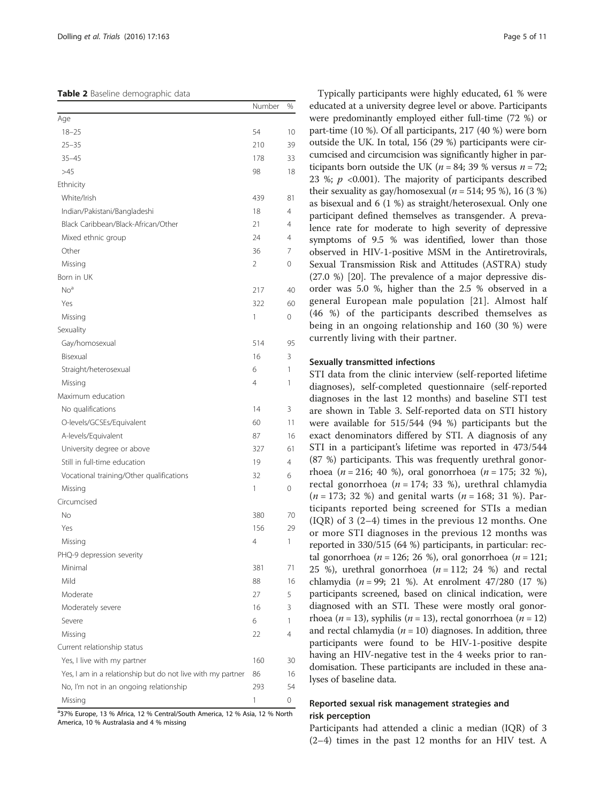<span id="page-4-0"></span>

|  |  |  | Table 2 Baseline demographic data |  |
|--|--|--|-----------------------------------|--|
|--|--|--|-----------------------------------|--|

|                                                             | Number         | %  |
|-------------------------------------------------------------|----------------|----|
| Age                                                         |                |    |
| $18 - 25$                                                   | 54             | 10 |
| $25 - 35$                                                   | 210            | 39 |
| $35 - 45$                                                   | 178            | 33 |
| >45                                                         | 98             | 18 |
| Ethnicity                                                   |                |    |
| White/Irish                                                 | 439            | 81 |
| Indian/Pakistani/Bangladeshi                                | 18             | 4  |
| Black Caribbean/Black-African/Other                         | 21             | 4  |
| Mixed ethnic group                                          | 24             | 4  |
| Other                                                       | 36             | 7  |
| Missing                                                     | $\overline{2}$ | 0  |
| Born in UK                                                  |                |    |
| No <sup>a</sup>                                             | 217            | 40 |
| Yes                                                         | 322            | 60 |
| Missing                                                     | 1              | 0  |
| Sexuality                                                   |                |    |
| Gay/homosexual                                              | 514            | 95 |
| Bisexual                                                    | 16             | 3  |
| Straight/heterosexual                                       | 6              | 1  |
| Missing                                                     | $\overline{4}$ | 1  |
| Maximum education                                           |                |    |
| No qualifications                                           | 14             | 3  |
| O-levels/GCSEs/Equivalent                                   | 60             | 11 |
| A-levels/Equivalent                                         | 87             | 16 |
| University degree or above                                  | 327            | 61 |
| Still in full-time education                                | 19             | 4  |
| Vocational training/Other qualifications                    | 32             | 6  |
| Missing                                                     | 1              | 0  |
| Circumcised                                                 |                |    |
| No                                                          | 380            | 70 |
| Yes                                                         | 156            | 29 |
| Missing                                                     | $\overline{4}$ | 1  |
| PHQ-9 depression severity                                   |                |    |
| Minimal                                                     | 381            | 71 |
| Mild                                                        | 88             | 16 |
| Moderate                                                    | 27             | 5  |
| Moderately severe                                           | 16             | 3  |
| Severe                                                      | 6              | 1  |
| Missing                                                     | 22             | 4  |
| Current relationship status                                 |                |    |
| Yes, I live with my partner                                 | 160            | 30 |
| Yes, I am in a relationship but do not live with my partner | 86             | 16 |
| No, I'm not in an ongoing relationship                      | 293            | 54 |
| Missing                                                     | 1              | 0  |

<sup>a</sup>37% Europe, 13 % Africa, 12 % Central/South America, 12 % Asia, 12 % North America, 10 % Australasia and 4 % missing

Typically participants were highly educated, 61 % were educated at a university degree level or above. Participants were predominantly employed either full-time (72 %) or part-time (10 %). Of all participants, 217 (40 %) were born outside the UK. In total, 156 (29 %) participants were circumcised and circumcision was significantly higher in participants born outside the UK ( $n = 84$ ; 39 % versus  $n = 72$ ; 23 %;  $p \leq 0.001$ ). The majority of participants described their sexuality as gay/homosexual ( $n = 514$ ; 95 %), 16 (3 %) as bisexual and 6 (1 %) as straight/heterosexual. Only one participant defined themselves as transgender. A prevalence rate for moderate to high severity of depressive symptoms of 9.5 % was identified, lower than those observed in HIV-1-positive MSM in the Antiretrovirals, Sexual Transmission Risk and Attitudes (ASTRA) study (27.0 %) [\[20](#page-9-0)]. The prevalence of a major depressive disorder was 5.0 %, higher than the 2.5 % observed in a general European male population [[21](#page-9-0)]. Almost half (46 %) of the participants described themselves as being in an ongoing relationship and 160 (30 %) were currently living with their partner.

#### Sexually transmitted infections

STI data from the clinic interview (self-reported lifetime diagnoses), self-completed questionnaire (self-reported diagnoses in the last 12 months) and baseline STI test are shown in Table [3.](#page-5-0) Self-reported data on STI history were available for 515/544 (94 %) participants but the exact denominators differed by STI. A diagnosis of any STI in a participant's lifetime was reported in 473/544 (87 %) participants. This was frequently urethral gonorrhoea (*n* = 216; 40 %), oral gonorrhoea (*n* = 175; 32 %), rectal gonorrhoea ( $n = 174$ ; 33 %), urethral chlamydia  $(n = 173; 32 \%)$  and genital warts  $(n = 168; 31 \%)$ . Participants reported being screened for STIs a median (IQR) of 3 (2–4) times in the previous 12 months. One or more STI diagnoses in the previous 12 months was reported in 330/515 (64 %) participants, in particular: rectal gonorrhoea (*n* = 126; 26 %), oral gonorrhoea (*n* = 121; 25 %), urethral gonorrhoea  $(n = 112; 24 \%)$  and rectal chlamydia ( $n = 99$ ; 21 %). At enrolment 47/280 (17 %) participants screened, based on clinical indication, were diagnosed with an STI. These were mostly oral gonorrhoea (*n* = 13), syphilis (*n* = 13), rectal gonorrhoea (*n* = 12) and rectal chlamydia ( $n = 10$ ) diagnoses. In addition, three participants were found to be HIV-1-positive despite having an HIV-negative test in the 4 weeks prior to randomisation. These participants are included in these analyses of baseline data.

# Reported sexual risk management strategies and risk perception

Participants had attended a clinic a median (IQR) of 3 (2–4) times in the past 12 months for an HIV test. A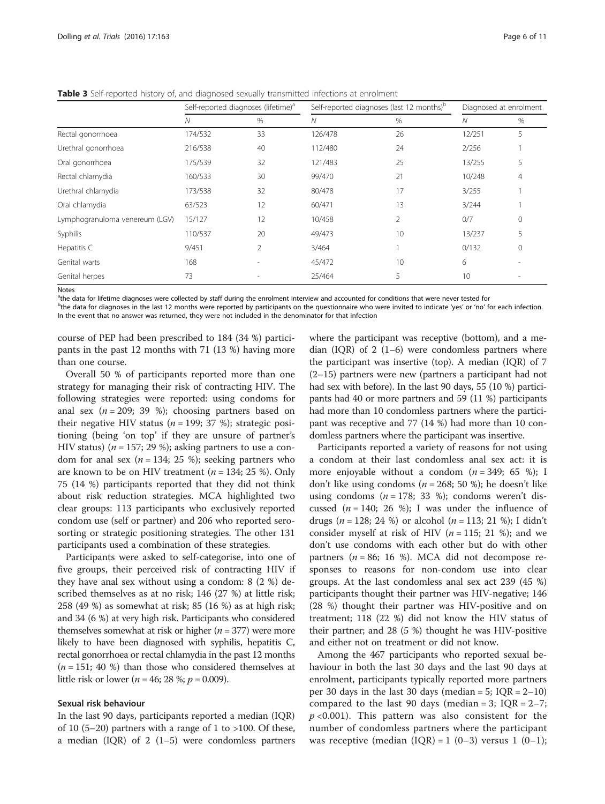<span id="page-5-0"></span>Table 3 Self-reported history of, and diagnosed sexually transmitted infections at enrolment

|                                | Self-reported diagnoses (lifetime) <sup>a</sup> |                | Self-reported diagnoses (last 12 months) <sup>b</sup> |    | Diagnosed at enrolment |          |
|--------------------------------|-------------------------------------------------|----------------|-------------------------------------------------------|----|------------------------|----------|
|                                | Ν                                               | $\%$           | N                                                     | %  | N                      | %        |
| Rectal gonorrhoea              | 174/532                                         | 33             | 126/478                                               | 26 | 12/251                 | 5        |
| Urethral gonorrhoea            | 216/538                                         | 40             | 112/480                                               | 24 | 2/256                  |          |
| Oral gonorrhoea                | 175/539                                         | 32             | 121/483                                               | 25 | 13/255                 | 5        |
| Rectal chlamydia               | 160/533                                         | 30             | 99/470                                                | 21 | 10/248                 | 4        |
| Urethral chlamydia             | 173/538                                         | 32             | 80/478                                                | 17 | 3/255                  |          |
| Oral chlamydia                 | 63/523                                          | 12             | 60/471                                                | 13 | 3/244                  |          |
| Lymphogranuloma venereum (LGV) | 15/127                                          | 12             | 10/458                                                | 2  | 0/7                    |          |
| Syphilis                       | 110/537                                         | 20             | 49/473                                                | 10 | 13/237                 |          |
| Hepatitis C                    | 9/451                                           | $\mathfrak{D}$ | 3/464                                                 |    | 0/132                  | $\Omega$ |
| Genital warts                  | 168                                             |                | 45/472                                                | 10 | 6                      |          |
| Genital herpes                 | 73                                              |                | 25/464                                                | 5  | 10                     |          |

Notes

<sup>a</sup>the data for lifetime diagnoses were collected by staff during the enrolment interview and accounted for conditions that were never tested for

bthe data for diagnoses in the last 12 months were reported by participants on the questionnaire who were invited to indicate 'yes' or 'no' for each infection. In the event that no answer was returned, they were not included in the denominator for that infection

course of PEP had been prescribed to 184 (34 %) participants in the past 12 months with 71 (13 %) having more than one course.

Overall 50 % of participants reported more than one strategy for managing their risk of contracting HIV. The following strategies were reported: using condoms for anal sex  $(n = 209; 39 \%)$ ; choosing partners based on their negative HIV status ( $n = 199$ ; 37 %); strategic positioning (being 'on top' if they are unsure of partner's HIV status) ( $n = 157$ ; 29 %); asking partners to use a condom for anal sex  $(n = 134; 25%)$ ; seeking partners who are known to be on HIV treatment ( $n = 134$ ; 25 %). Only 75 (14 %) participants reported that they did not think about risk reduction strategies. MCA highlighted two clear groups: 113 participants who exclusively reported condom use (self or partner) and 206 who reported serosorting or strategic positioning strategies. The other 131 participants used a combination of these strategies.

Participants were asked to self-categorise, into one of five groups, their perceived risk of contracting HIV if they have anal sex without using a condom: 8 (2 %) described themselves as at no risk; 146 (27 %) at little risk; 258 (49 %) as somewhat at risk; 85 (16 %) as at high risk; and 34 (6 %) at very high risk. Participants who considered themselves somewhat at risk or higher ( $n = 377$ ) were more likely to have been diagnosed with syphilis, hepatitis C, rectal gonorrhoea or rectal chlamydia in the past 12 months  $(n = 151; 40 \%)$  than those who considered themselves at little risk or lower (*n* = 46; 28 %; *p* = 0.009).

#### Sexual risk behaviour

In the last 90 days, participants reported a median (IQR) of 10 (5–20) partners with a range of 1 to  $>100$ . Of these, a median  $(IQR)$  of 2  $(1-5)$  were condomless partners where the participant was receptive (bottom), and a median (IQR) of  $2(1-6)$  were condomless partners where the participant was insertive (top). A median (IQR) of 7 (2–15) partners were new (partners a participant had not had sex with before). In the last 90 days, 55 (10 %) participants had 40 or more partners and 59 (11 %) participants had more than 10 condomless partners where the participant was receptive and 77 (14 %) had more than 10 condomless partners where the participant was insertive.

Participants reported a variety of reasons for not using a condom at their last condomless anal sex act: it is more enjoyable without a condom  $(n = 349; 65 \%)$ ; I don't like using condoms ( $n = 268$ ; 50 %); he doesn't like using condoms  $(n = 178; 33 \%)$ ; condoms weren't discussed  $(n = 140; 26 \%)$ ; I was under the influence of drugs ( $n = 128$ ; 24 %) or alcohol ( $n = 113$ ; 21 %); I didn't consider myself at risk of HIV  $(n = 115; 21 \%)$ ; and we don't use condoms with each other but do with other partners ( $n = 86$ ; 16 %). MCA did not decompose responses to reasons for non-condom use into clear groups. At the last condomless anal sex act 239 (45 %) participants thought their partner was HIV-negative; 146 (28 %) thought their partner was HIV-positive and on treatment; 118 (22 %) did not know the HIV status of their partner; and 28 (5 %) thought he was HIV-positive and either not on treatment or did not know.

Among the 467 participants who reported sexual behaviour in both the last 30 days and the last 90 days at enrolment, participants typically reported more partners per 30 days in the last 30 days (median = 5;  $IQR = 2-10$ ) compared to the last 90 days (median = 3;  $IQR = 2-7$ ;  $p$  <0.001). This pattern was also consistent for the number of condomless partners where the participant was receptive (median  $(IQR) = 1$   $(0-3)$  versus 1  $(0-1)$ ;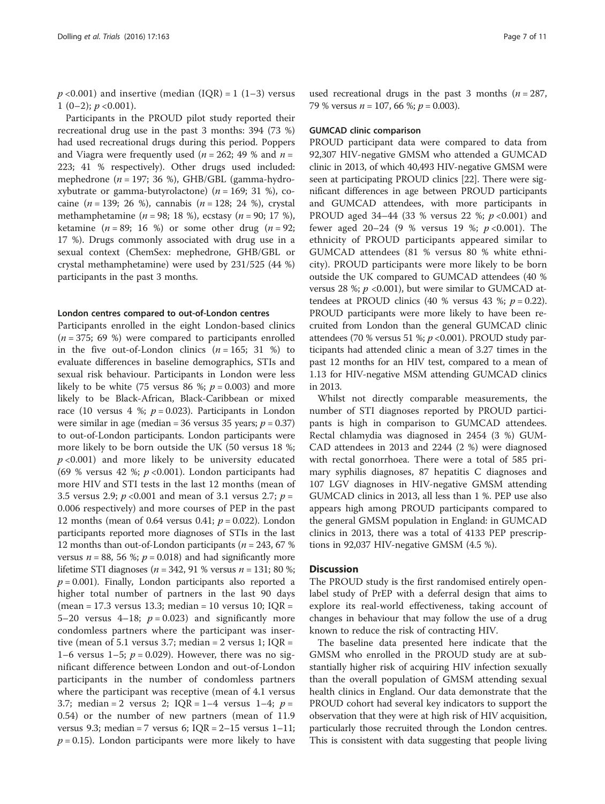$p$  <0.001) and insertive (median (IQR) = 1 (1–3) versus  $1(0-2)$ ;  $p < 0.001$ ).

Participants in the PROUD pilot study reported their recreational drug use in the past 3 months: 394 (73 %) had used recreational drugs during this period. Poppers and Viagra were frequently used ( $n = 262$ ; 49 % and  $n =$ 223; 41 % respectively). Other drugs used included: mephedrone ( $n = 197$ ; 36 %), GHB/GBL (gamma-hydroxybutrate or gamma-butyrolactone) ( $n = 169$ ; 31 %), cocaine ( $n = 139$ ; 26 %), cannabis ( $n = 128$ ; 24 %), crystal methamphetamine ( $n = 98$ ; 18 %), ecstasy ( $n = 90$ ; 17 %), ketamine ( $n = 89$ ; 16 %) or some other drug ( $n = 92$ ; 17 %). Drugs commonly associated with drug use in a sexual context (ChemSex: mephedrone, GHB/GBL or crystal methamphetamine) were used by 231/525 (44 %) participants in the past 3 months.

#### London centres compared to out-of-London centres

Participants enrolled in the eight London-based clinics  $(n = 375; 69 \%)$  were compared to participants enrolled in the five out-of-London clinics  $(n = 165; 31 \%)$  to evaluate differences in baseline demographics, STIs and sexual risk behaviour. Participants in London were less likely to be white (75 versus 86 %;  $p = 0.003$ ) and more likely to be Black-African, Black-Caribbean or mixed race (10 versus 4 %;  $p = 0.023$ ). Participants in London were similar in age (median = 36 versus 35 years;  $p = 0.37$ ) to out-of-London participants. London participants were more likely to be born outside the UK (50 versus 18 %;  $p$  <0.001) and more likely to be university educated (69 % versus 42 %;  $p < 0.001$ ). London participants had more HIV and STI tests in the last 12 months (mean of 3.5 versus 2.9;  $p < 0.001$  and mean of 3.1 versus 2.7;  $p =$ 0.006 respectively) and more courses of PEP in the past 12 months (mean of 0.64 versus 0.41;  $p = 0.022$ ). London participants reported more diagnoses of STIs in the last 12 months than out-of-London participants ( $n = 243, 67$  %) versus  $n = 88$ , 56 %;  $p = 0.018$ ) and had significantly more lifetime STI diagnoses ( $n = 342, 91$  % versus  $n = 131; 80$  %;  $p = 0.001$ ). Finally, London participants also reported a higher total number of partners in the last 90 days (mean = 17.3 versus 13.3; median = 10 versus 10; IQR = 5–20 versus 4–18;  $p = 0.023$  and significantly more condomless partners where the participant was insertive (mean of 5.1 versus 3.7; median = 2 versus 1;  $IQR =$ 1–6 versus 1–5;  $p = 0.029$ ). However, there was no significant difference between London and out-of-London participants in the number of condomless partners where the participant was receptive (mean of 4.1 versus 3.7; median = 2 versus 2;  $IQR = 1-4$  versus  $1-4$ ;  $p =$ 0.54) or the number of new partners (mean of 11.9 versus 9.3; median = 7 versus 6;  $IQR = 2-15$  versus 1-11;  $p = 0.15$ ). London participants were more likely to have

used recreational drugs in the past 3 months ( $n = 287$ , 79 % versus  $n = 107, 66$  %;  $p = 0.003$ ).

# GUMCAD clinic comparison

PROUD participant data were compared to data from 92,307 HIV-negative GMSM who attended a GUMCAD clinic in 2013, of which 40,493 HIV-negative GMSM were seen at participating PROUD clinics [\[22\]](#page-9-0). There were significant differences in age between PROUD participants and GUMCAD attendees, with more participants in PROUD aged 34-44 (33 % versus 22 %;  $p < 0.001$ ) and fewer aged 20–24 (9 % versus 19 %;  $p < 0.001$ ). The ethnicity of PROUD participants appeared similar to GUMCAD attendees (81 % versus 80 % white ethnicity). PROUD participants were more likely to be born outside the UK compared to GUMCAD attendees (40 % versus 28 %;  $p \le 0.001$ ), but were similar to GUMCAD attendees at PROUD clinics (40 % versus 43 %;  $p = 0.22$ ). PROUD participants were more likely to have been recruited from London than the general GUMCAD clinic attendees (70 % versus 51 %;  $p$  <0.001). PROUD study participants had attended clinic a mean of 3.27 times in the past 12 months for an HIV test, compared to a mean of 1.13 for HIV-negative MSM attending GUMCAD clinics in 2013.

Whilst not directly comparable measurements, the number of STI diagnoses reported by PROUD participants is high in comparison to GUMCAD attendees. Rectal chlamydia was diagnosed in 2454 (3 %) GUM-CAD attendees in 2013 and 2244 (2 %) were diagnosed with rectal gonorrhoea. There were a total of 585 primary syphilis diagnoses, 87 hepatitis C diagnoses and 107 LGV diagnoses in HIV-negative GMSM attending GUMCAD clinics in 2013, all less than 1 %. PEP use also appears high among PROUD participants compared to the general GMSM population in England: in GUMCAD clinics in 2013, there was a total of 4133 PEP prescriptions in 92,037 HIV-negative GMSM (4.5 %).

### **Discussion**

The PROUD study is the first randomised entirely openlabel study of PrEP with a deferral design that aims to explore its real-world effectiveness, taking account of changes in behaviour that may follow the use of a drug known to reduce the risk of contracting HIV.

The baseline data presented here indicate that the GMSM who enrolled in the PROUD study are at substantially higher risk of acquiring HIV infection sexually than the overall population of GMSM attending sexual health clinics in England. Our data demonstrate that the PROUD cohort had several key indicators to support the observation that they were at high risk of HIV acquisition, particularly those recruited through the London centres. This is consistent with data suggesting that people living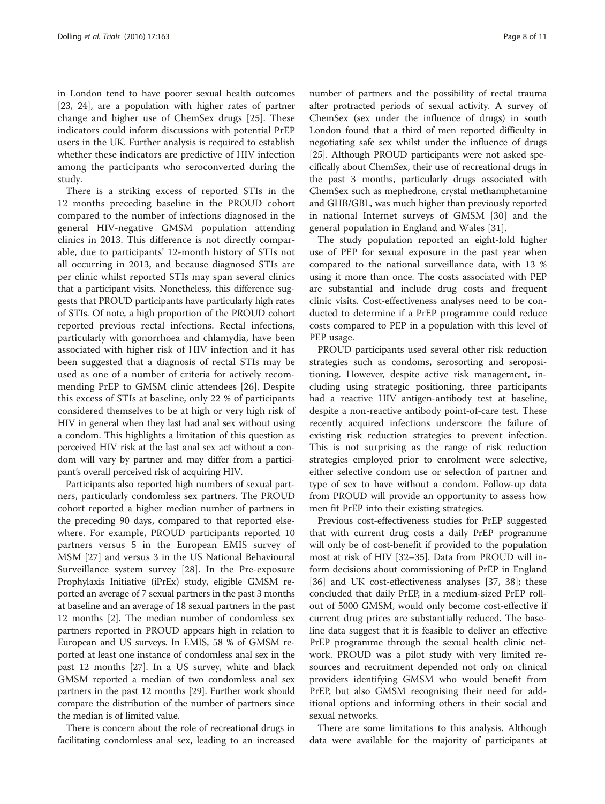in London tend to have poorer sexual health outcomes [[23](#page-9-0), [24](#page-10-0)], are a population with higher rates of partner change and higher use of ChemSex drugs [[25\]](#page-10-0). These indicators could inform discussions with potential PrEP users in the UK. Further analysis is required to establish whether these indicators are predictive of HIV infection among the participants who seroconverted during the study.

There is a striking excess of reported STIs in the 12 months preceding baseline in the PROUD cohort compared to the number of infections diagnosed in the general HIV-negative GMSM population attending clinics in 2013. This difference is not directly comparable, due to participants' 12-month history of STIs not all occurring in 2013, and because diagnosed STIs are per clinic whilst reported STIs may span several clinics that a participant visits. Nonetheless, this difference suggests that PROUD participants have particularly high rates of STIs. Of note, a high proportion of the PROUD cohort reported previous rectal infections. Rectal infections, particularly with gonorrhoea and chlamydia, have been associated with higher risk of HIV infection and it has been suggested that a diagnosis of rectal STIs may be used as one of a number of criteria for actively recommending PrEP to GMSM clinic attendees [[26](#page-10-0)]. Despite this excess of STIs at baseline, only 22 % of participants considered themselves to be at high or very high risk of HIV in general when they last had anal sex without using a condom. This highlights a limitation of this question as perceived HIV risk at the last anal sex act without a condom will vary by partner and may differ from a participant's overall perceived risk of acquiring HIV.

Participants also reported high numbers of sexual partners, particularly condomless sex partners. The PROUD cohort reported a higher median number of partners in the preceding 90 days, compared to that reported elsewhere. For example, PROUD participants reported 10 partners versus 5 in the European EMIS survey of MSM [[27\]](#page-10-0) and versus 3 in the US National Behavioural Surveillance system survey [[28\]](#page-10-0). In the Pre-exposure Prophylaxis Initiative (iPrEx) study, eligible GMSM reported an average of 7 sexual partners in the past 3 months at baseline and an average of 18 sexual partners in the past 12 months [[2\]](#page-9-0). The median number of condomless sex partners reported in PROUD appears high in relation to European and US surveys. In EMIS, 58 % of GMSM reported at least one instance of condomless anal sex in the past 12 months [[27\]](#page-10-0). In a US survey, white and black GMSM reported a median of two condomless anal sex partners in the past 12 months [[29\]](#page-10-0). Further work should compare the distribution of the number of partners since the median is of limited value.

There is concern about the role of recreational drugs in facilitating condomless anal sex, leading to an increased

number of partners and the possibility of rectal trauma after protracted periods of sexual activity. A survey of ChemSex (sex under the influence of drugs) in south London found that a third of men reported difficulty in negotiating safe sex whilst under the influence of drugs [[25](#page-10-0)]. Although PROUD participants were not asked specifically about ChemSex, their use of recreational drugs in the past 3 months, particularly drugs associated with ChemSex such as mephedrone, crystal methamphetamine and GHB/GBL, was much higher than previously reported in national Internet surveys of GMSM [[30](#page-10-0)] and the general population in England and Wales [[31\]](#page-10-0).

The study population reported an eight-fold higher use of PEP for sexual exposure in the past year when compared to the national surveillance data, with 13 % using it more than once. The costs associated with PEP are substantial and include drug costs and frequent clinic visits. Cost-effectiveness analyses need to be conducted to determine if a PrEP programme could reduce costs compared to PEP in a population with this level of PEP usage.

PROUD participants used several other risk reduction strategies such as condoms, serosorting and seropositioning. However, despite active risk management, including using strategic positioning, three participants had a reactive HIV antigen-antibody test at baseline, despite a non-reactive antibody point-of-care test. These recently acquired infections underscore the failure of existing risk reduction strategies to prevent infection. This is not surprising as the range of risk reduction strategies employed prior to enrolment were selective, either selective condom use or selection of partner and type of sex to have without a condom. Follow-up data from PROUD will provide an opportunity to assess how men fit PrEP into their existing strategies.

Previous cost-effectiveness studies for PrEP suggested that with current drug costs a daily PrEP programme will only be of cost-benefit if provided to the population most at risk of HIV [[32](#page-10-0)–[35](#page-10-0)]. Data from PROUD will inform decisions about commissioning of PrEP in England [[36\]](#page-10-0) and UK cost-effectiveness analyses [[37, 38](#page-10-0)]; these concluded that daily PrEP, in a medium-sized PrEP rollout of 5000 GMSM, would only become cost-effective if current drug prices are substantially reduced. The baseline data suggest that it is feasible to deliver an effective PrEP programme through the sexual health clinic network. PROUD was a pilot study with very limited resources and recruitment depended not only on clinical providers identifying GMSM who would benefit from PrEP, but also GMSM recognising their need for additional options and informing others in their social and sexual networks.

There are some limitations to this analysis. Although data were available for the majority of participants at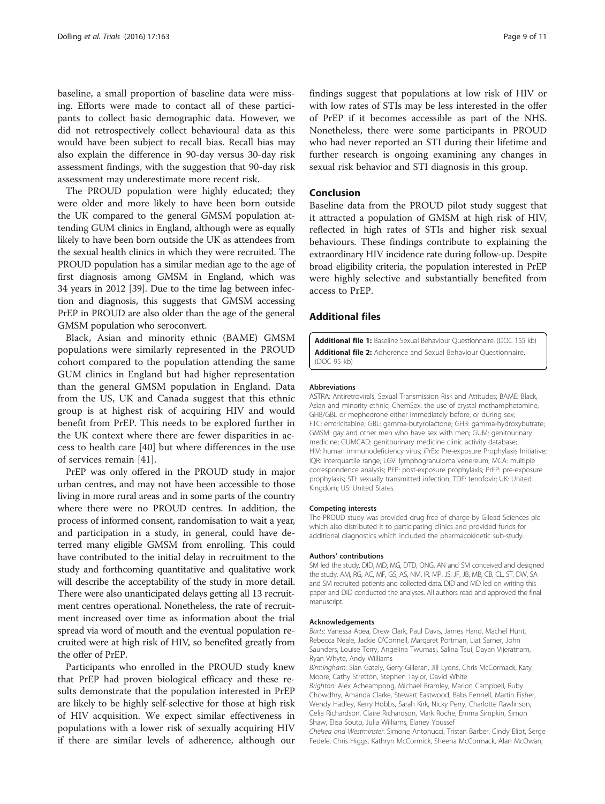<span id="page-8-0"></span>baseline, a small proportion of baseline data were missing. Efforts were made to contact all of these participants to collect basic demographic data. However, we did not retrospectively collect behavioural data as this would have been subject to recall bias. Recall bias may also explain the difference in 90-day versus 30-day risk assessment findings, with the suggestion that 90-day risk assessment may underestimate more recent risk.

The PROUD population were highly educated; they were older and more likely to have been born outside the UK compared to the general GMSM population attending GUM clinics in England, although were as equally likely to have been born outside the UK as attendees from the sexual health clinics in which they were recruited. The PROUD population has a similar median age to the age of first diagnosis among GMSM in England, which was 34 years in 2012 [\[39\]](#page-10-0). Due to the time lag between infection and diagnosis, this suggests that GMSM accessing PrEP in PROUD are also older than the age of the general GMSM population who seroconvert.

Black, Asian and minority ethnic (BAME) GMSM populations were similarly represented in the PROUD cohort compared to the population attending the same GUM clinics in England but had higher representation than the general GMSM population in England. Data from the US, UK and Canada suggest that this ethnic group is at highest risk of acquiring HIV and would benefit from PrEP. This needs to be explored further in the UK context where there are fewer disparities in access to health care [\[40](#page-10-0)] but where differences in the use of services remain [[41\]](#page-10-0).

PrEP was only offered in the PROUD study in major urban centres, and may not have been accessible to those living in more rural areas and in some parts of the country where there were no PROUD centres. In addition, the process of informed consent, randomisation to wait a year, and participation in a study, in general, could have deterred many eligible GMSM from enrolling. This could have contributed to the initial delay in recruitment to the study and forthcoming quantitative and qualitative work will describe the acceptability of the study in more detail. There were also unanticipated delays getting all 13 recruitment centres operational. Nonetheless, the rate of recruitment increased over time as information about the trial spread via word of mouth and the eventual population recruited were at high risk of HIV, so benefited greatly from the offer of PrEP.

Participants who enrolled in the PROUD study knew that PrEP had proven biological efficacy and these results demonstrate that the population interested in PrEP are likely to be highly self-selective for those at high risk of HIV acquisition. We expect similar effectiveness in populations with a lower risk of sexually acquiring HIV if there are similar levels of adherence, although our

findings suggest that populations at low risk of HIV or with low rates of STIs may be less interested in the offer of PrEP if it becomes accessible as part of the NHS. Nonetheless, there were some participants in PROUD who had never reported an STI during their lifetime and further research is ongoing examining any changes in sexual risk behavior and STI diagnosis in this group.

### Conclusion

Baseline data from the PROUD pilot study suggest that it attracted a population of GMSM at high risk of HIV, reflected in high rates of STIs and higher risk sexual behaviours. These findings contribute to explaining the extraordinary HIV incidence rate during follow-up. Despite broad eligibility criteria, the population interested in PrEP were highly selective and substantially benefited from access to PrEP.

# Additional files

[Additional file 1:](dx.doi.org/10.1186/s13063-016-1286-4) Baseline Sexual Behaviour Questionnaire. (DOC 155 kb) [Additional file 2:](dx.doi.org/10.1186/s13063-016-1286-4) Adherence and Sexual Behaviour Questionnaire. (DOC 95 kb)

#### Abbreviations

ASTRA: Antiretrovirals, Sexual Transmission Risk and Attitudes; BAME: Black, Asian and minority ethnic; ChemSex: the use of crystal methamphetamine, GHB/GBL or mephedrone either immediately before, or during sex; FTC: emtricitabine; GBL: gamma-butyrolactone; GHB: gamma-hydroxybutrate; GMSM: gay and other men who have sex with men; GUM: genitourinary medicine; GUMCAD: genitourinary medicine clinic activity database; HIV: human immunodeficiency virus; iPrEx: Pre-exposure Prophylaxis Initiative; IQR: interquartile range; LGV: lymphogranuloma venereum; MCA: multiple correspondence analysis; PEP: post-exposure prophylaxis; PrEP: pre-exposure prophylaxis; STI: sexually transmitted infection; TDF: tenofovir; UK: United Kingdom; US: United States.

#### Competing interests

The PROUD study was provided drug free of charge by Gilead Sciences plc which also distributed it to participating clinics and provided funds for additional diagnostics which included the pharmacokinetic sub-study.

#### Authors' contributions

SM led the study. DID, MD, MG, DTD, ONG, AN and SM conceived and designed the study. AM, RG, AC, MF, GS, AS, NM, IR, MP, JS, JF, JB, MB, CB, CL, ST, DW, SA and SM recruited patients and collected data. DID and MD led on writing this paper and DID conducted the analyses. All authors read and approved the final manuscript.

#### Acknowledgements

Barts: Vanessa Apea, Drew Clark, Paul Davis, James Hand, Machel Hunt, Rebecca Neale, Jackie O'Connell, Margaret Portman, Liat Sarner, John Saunders, Louise Terry, Angelina Twumasi, Salina Tsui, Dayan Vijeratnam, Ryan Whyte, Andy Williams

Birmingham: Sian Gately, Gerry Gilleran, Jill Lyons, Chris McCormack, Katy Moore, Cathy Stretton, Stephen Taylor, David White

Brighton: Alex Acheampong, Michael Bramley, Marion Campbell, Ruby Chowdhry, Amanda Clarke, Stewart Eastwood, Babs Fennell, Martin Fisher, Wendy Hadley, Kerry Hobbs, Sarah Kirk, Nicky Perry, Charlotte Rawlinson, Celia Richardson, Claire Richardson, Mark Roche, Emma Simpkin, Simon Shaw, Elisa Souto, Julia Williams, Elaney Youssef

Chelsea and Westminster: Simone Antonucci, Tristan Barber, Cindy Eliot, Serge Fedele, Chris Higgs, Kathryn McCormick, Sheena McCormack, Alan McOwan,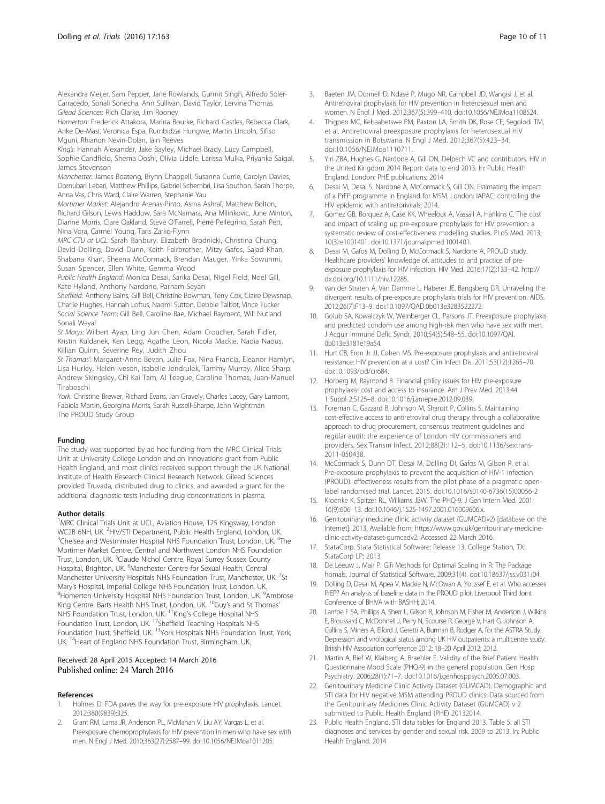<span id="page-9-0"></span>Alexandra Meijer, Sam Pepper, Jane Rowlands, Gurmit Singh, Alfredo Soler-Carracedo, Sonali Sonecha, Ann Sullivan, David Taylor, Lervina Thomas Gilead Sciences: Rich Clarke, Jim Rooney

Homerton: Frederick Attakora, Marina Bourke, Richard Castles, Rebecca Clark, Anke De-Masi, Veronica Espa, Rumbidzai Hungwe, Martin Lincoln, Sifiso Mguni, Rhianon Nevin-Dolan, Iain Reeves

King's: Hannah Alexander, Jake Bayley, Michael Brady, Lucy Campbell, Sophie Candfield, Shema Doshi, Olivia Liddle, Larissa Mulka, Priyanka Saigal, James Stevenson

Manchester: James Boateng, Brynn Chappell, Susanna Currie, Carolyn Davies, Dornubari Lebari, Matthew Phillips, Gabriel Schembri, Lisa Southon, Sarah Thorpe, Anna Vas, Chris Ward, Claire Warren, Stephanie Yau

Mortimer Market: Alejandro Arenas-Pinto, Asma Ashraf, Matthew Bolton, Richard Gilson, Lewis Haddow, Sara McNamara, Ana Milinkovic, June Minton, Dianne Morris, Clare Oakland, Steve O'Farrell, Pierre Pellegrino, Sarah Pett, Nina Vora, Carmel Young, Taris Zarko-Flynn

MRC CTU at UCL: Sarah Banbury, Elizabeth Brodnicki, Christina Chung, David Dolling, David Dunn, Keith Fairbrother, Mitzy Gafos, Sajad Khan, Shabana Khan, Sheena McCormack, Brendan Mauger, Yinka Sowunmi, Susan Spencer, Ellen White, Gemma Wood

Public Health England: Monica Desai, Sarika Desai, Nigel Field, Noel Gill, Kate Hyland, Anthony Nardone, Parnam Seyan

Sheffield: Anthony Bains, Gill Bell, Christine Bowman, Terry Cox, Claire Dewsnap, Charlie Hughes, Hannah Loftus, Naomi Sutton, Debbie Talbot, Vince Tucker Social Science Team: Gill Bell, Caroline Rae, Michael Rayment, Will Nutland, Sonali Wayal

St Marys: Wilbert Ayap, Ling Jun Chen, Adam Croucher, Sarah Fidler, Kristin Kuldanek, Ken Legg, Agathe Leon, Nicola Mackie, Nadia Naous, Killian Quinn, Severine Rey, Judith Zhou

St Thomas': Margaret-Anne Bevan, Julie Fox, Nina Francia, Eleanor Hamlyn, Lisa Hurley, Helen Iveson, Isabelle Jendrulek, Tammy Murray, Alice Sharp, Andrew Skingsley, Chi Kai Tam, Al Teague, Caroline Thomas, Juan-Manuel Tiraboschi

York: Christine Brewer, Richard Evans, Jan Gravely, Charles Lacey, Gary Lamont, Fabiola Martin, Georgina Morris, Sarah Russell-Sharpe, John Wightman The PROUD Study Group

#### Funding

The study was supported by ad hoc funding from the MRC Clinical Trials Unit at University College London and an innovations grant from Public Health England, and most clinics received support through the UK National Institute of Health Research Clinical Research Network. Gilead Sciences provided Truvada, distributed drug to clinics, and awarded a grant for the additional diagnostic tests including drug concentrations in plasma.

#### Author details

<sup>1</sup>MRC Clinical Trials Unit at UCL, Aviation House, 125 Kingsway, London WC2B 6NH, UK. <sup>2</sup>HIV/STI Department, Public Health England, London, UK.<br><sup>3</sup>Cholsea and Westminster Hespital NHS Equadation Trust London, UK. <sup>4-</sup> Chelsea and Westminster Hospital NHS Foundation Trust, London, UK. <sup>4</sup>The Mortimer Market Centre, Central and Northwest London NHS Foundation Trust, London, UK. <sup>5</sup>Claude Nichol Centre, Royal Surrey Sussex County Hospital, Brighton, UK. <sup>6</sup>Manchester Centre for Sexual Health, Central Manchester University Hospitals NHS Foundation Trust, Manchester, UK. <sup>7</sup>St Mary's Hospital, Imperial College NHS Foundation Trust, London, UK. Homerton University Hospital NHS Foundation Trust, London, UK. <sup>9</sup>Ambrose King Centre, Barts Health NHS Trust, London, UK. <sup>10</sup>Guy's and St Thomas' NHS Foundation Trust, London, UK. <sup>11</sup>King's College Hospital NHS Foundation Trust, London, UK. <sup>12</sup>Sheffield Teaching Hospitals NHS Foundation Trust, Sheffield, UK. 13York Hospitals NHS Foundation Trust, York, UK.<sup>14</sup>Heart of England NHS Foundation Trust, Birmingham, UK.

#### Received: 28 April 2015 Accepted: 14 March 2016 Published online: 24 March 2016

#### References

- Holmes D. FDA paves the way for pre-exposure HIV prophylaxis. Lancet. 2012;380(9839):325.
- Grant RM, Lama JR, Anderson PL, McMahan V, Liu AY, Vargas L, et al. Preexposure chemoprophylaxis for HIV prevention in men who have sex with men. N Engl J Med. 2010;363(27):2587–99. doi:[10.1056/NEJMoa1011205](http://dx.doi.org/10.1056/NEJMoa1011205).
- 3. Baeten JM, Donnell D, Ndase P, Mugo NR, Campbell JD, Wangisi J, et al. Antiretroviral prophylaxis for HIV prevention in heterosexual men and women. N Engl J Med. 2012;367(5):399–410. doi:[10.1056/NEJMoa1108524.](http://dx.doi.org/10.1056/NEJMoa1108524)
- 4. Thigpen MC, Kebaabetswe PM, Paxton LA, Smith DK, Rose CE, Segolodi TM, et al. Antiretroviral preexposure prophylaxis for heterosexual HIV transmission in Botswana. N Engl J Med. 2012;367(5):423–34. doi:[10.1056/NEJMoa1110711](http://dx.doi.org/10.1056/NEJMoa1110711).
- 5. Yin ZBA, Hughes G, Nardone A, Gill ON, Delpech VC and contributors. HIV in the United Kingdom 2014 Report: data to end 2013. In: Public Health England. London: PHE publications; 2014
- Desai M, Desai S, Nardone A, McCormack S, Gill ON. Estimating the impact of a PrEP programme in England for MSM. London: IAPAC: controlling the HIV epidemic with antiretorivirals; 2014.
- 7. Gomez GB, Borquez A, Case KK, Wheelock A, Vassall A, Hankins C. The cost and impact of scaling up pre-exposure prophylaxis for HIV prevention: a systematic review of cost-effectiveness modelling studies. PLoS Med. 2013; 10(3):e1001401. doi:[10.1371/journal.pmed.1001401.](http://dx.doi.org/10.1371/journal.pmed.1001401)
- Desai M, Gafos M, Dolling D, McCormack S, Nardone A, PROUD study. Healthcare providers' knowledge of, attitudes to and practice of preexposure prophylaxis for HIV infection. HIV Med. 2016;17(2):133–42. [http://](http://dx.doi.org/10.1111/hiv.12285) [dx.doi.org/10.1111/hiv.12285](http://dx.doi.org/10.1111/hiv.12285).
- 9. van der Straten A, Van Damme L, Haberer JE, Bangsberg DR. Unraveling the divergent results of pre-exposure prophylaxis trials for HIV prevention. AIDS. 2012;26(7):F13–9. doi[:10.1097/QAD.0b013e3283522272](http://dx.doi.org/10.1097/QAD.0b013e3283522272).
- 10. Golub SA, Kowalczyk W, Weinberger CL, Parsons JT. Preexposure prophylaxis and predicted condom use among high-risk men who have sex with men. J Acquir Immune Defic Syndr. 2010;54(5):548–55. doi[:10.1097/QAI.](http://dx.doi.org/10.1097/QAI.0b013e3181e19a54) [0b013e3181e19a54.](http://dx.doi.org/10.1097/QAI.0b013e3181e19a54)
- 11. Hurt CB, Eron Jr JJ, Cohen MS. Pre-exposure prophylaxis and antiretroviral resistance: HIV prevention at a cost? Clin Infect Dis. 2011;53(12):1265–70. doi[:10.1093/cid/cir684.](http://dx.doi.org/10.1093/cid/cir684)
- 12. Horberg M, Raymond B. Financial policy issues for HIV pre-exposure prophylaxis: cost and access to insurance. Am J Prev Med. 2013;44 1 Suppl 2:S125–8. doi[:10.1016/j.amepre.2012.09.039](http://dx.doi.org/10.1016/j.amepre.2012.09.039).
- 13. Foreman C, Gazzard B, Johnson M, Sharott P, Collins S. Maintaining cost-effective access to antiretroviral drug therapy through a collaborative approach to drug procurement, consensus treatment guidelines and regular audit: the experience of London HIV commissioners and providers. Sex Transm Infect. 2012;88(2):112–5. doi:[10.1136/sextrans-](http://dx.doi.org/10.1136/sextrans-2011-050438)[2011-050438](http://dx.doi.org/10.1136/sextrans-2011-050438).
- 14. McCormack S, Dunn DT, Desai M, Dolling DI, Gafos M, Gilson R, et al. Pre-exposure prophylaxis to prevent the acquisition of HIV-1 infection (PROUD): effectiveness results from the pilot phase of a pragmatic openlabel randomised trial. Lancet. 2015. doi:10.1016/s0140-6736(15)00056-2
- 15. Kroenke K, Spitzer RL, Williams JBW. The PHQ-9. J Gen Intern Med. 2001; 16(9):606–13. doi[:10.1046/j.1525-1497.2001.016009606.x](http://dx.doi.org/10.1046/j.1525-1497.2001.016009606.x).
- 16. Genitourinary medicine clinic activity dataset (GUMCADv2) [database on the Internet]. 2013. Available from: [https://www.gov.uk/genitourinary-medicine](https://www.gov.uk/genitourinary-medicine-clinic-activity-dataset-gumcadv2)[clinic-activity-dataset-gumcadv2.](https://www.gov.uk/genitourinary-medicine-clinic-activity-dataset-gumcadv2) Accessed 22 March 2016.
- 17. StataCorp. Stata Statistical Software: Release 13. College Station, TX: StataCorp LP; 2013.
- 18. De Leeuw J, Mair P. Gifi Methods for Optimal Scaling in R: The Package homals. Journal of Statistical Software. 2009;31(4). doi[:10.18637/jss.v031.i04](http://dx.doi.org/10.18637/jss.v031.i04).
- 19. Dolling D, Desai M, Apea V, Mackie N, McOwan A, Youssef E, et al. Who accesses PrEP? An analysis of baseline data in the PROUD pilot. Liverpool: Third Joint Conference of BHIVA with BASHH; 2014.
- 20. Lampe F SA, Phillips A, Sherr L, Gilson R, Johnson M, Fisher M, Anderson J, Wilkins E, Broussard C, McDonnell J, Perry N, Scourse R, George V, Hart G, Johnson A, Collins S, Miners A, Elford J, Geretti A, Burman B, Rodger A, for the ASTRA Study. Depression and virological status among UK HIV outpatients: a multicentre study. British HIV Association conference 2012; 18–20 April 2012; 2012.
- 21. Martin A, Rief W, Klaiberg A, Braehler E. Validity of the Brief Patient Health Questionnaire Mood Scale (PHQ-9) in the general population. Gen Hosp Psychiatry. 2006;28(1):71–7. doi:[10.1016/j.genhosppsych.2005.07.003](http://dx.doi.org/10.1016/j.genhosppsych.2005.07.003).
- 22. Genitourinary Medicine Clinic Activity Dataset (GUMCAD). Demographic and STI data for HIV negative MSM attending PROUD clinics: Data sourced from the Genitourinary Medicines Clinic Activity Dataset (GUMCAD) v 2 submitted to Public Health England (PHE) 20132014.
- 23. Public Health England. STI data tables for England 2013. Table 5: all STI diagnoses and services by gender and sexual risk. 2009 to 2013. In: Public Health England. 2014